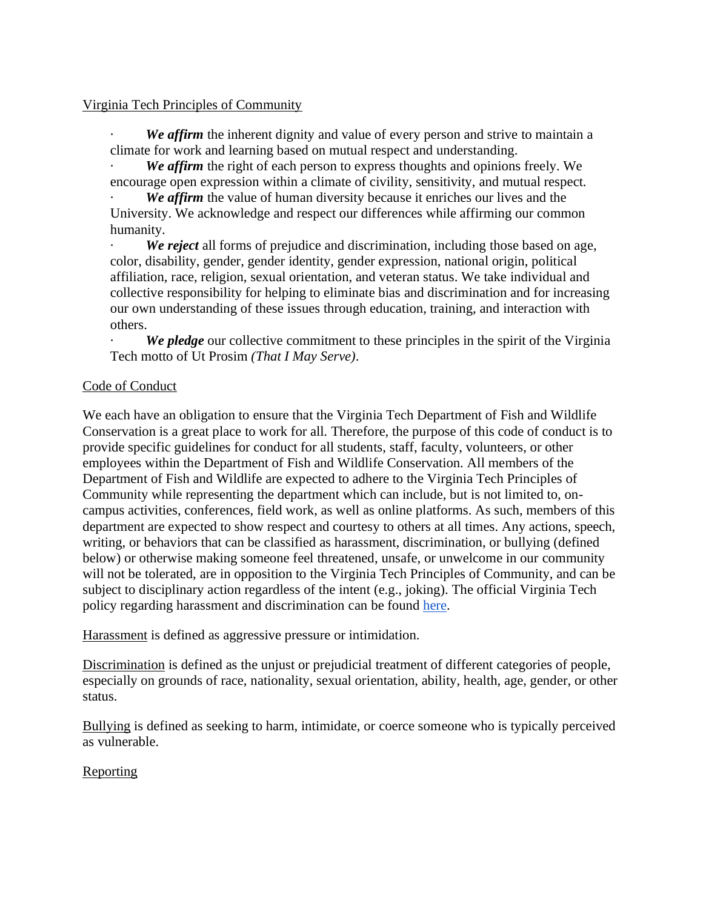## Virginia Tech Principles of Community

We affirm the inherent dignity and value of every person and strive to maintain a climate for work and learning based on mutual respect and understanding.

We affirm the right of each person to express thoughts and opinions freely. We encourage open expression within a climate of civility, sensitivity, and mutual respect.

We affirm the value of human diversity because it enriches our lives and the University. We acknowledge and respect our differences while affirming our common humanity.

· *We reject* all forms of prejudice and discrimination, including those based on age, color, disability, gender, gender identity, gender expression, national origin, political affiliation, race, religion, sexual orientation, and veteran status. We take individual and collective responsibility for helping to eliminate bias and discrimination and for increasing our own understanding of these issues through education, training, and interaction with others.

We *pledge* our collective commitment to these principles in the spirit of the Virginia Tech motto of Ut Prosim *(That I May Serve)*.

## Code of Conduct

We each have an obligation to ensure that the Virginia Tech Department of Fish and Wildlife Conservation is a great place to work for all. Therefore, the purpose of this code of conduct is to provide specific guidelines for conduct for all students, staff, faculty, volunteers, or other employees within the Department of Fish and Wildlife Conservation. All members of the Department of Fish and Wildlife are expected to adhere to the Virginia Tech Principles of Community while representing the department which can include, but is not limited to, oncampus activities, conferences, field work, as well as online platforms. As such, members of this department are expected to show respect and courtesy to others at all times. Any actions, speech, writing, or behaviors that can be classified as harassment, discrimination, or bullying (defined below) or otherwise making someone feel threatened, unsafe, or unwelcome in our community will not be tolerated, are in opposition to the Virginia Tech Principles of Community, and can be subject to disciplinary action regardless of the intent (e.g., joking). The official Virginia Tech policy regarding harassment and discrimination can be found [here.](http://www.policies.vt.edu/1025.pdf)

Harassment is defined as aggressive pressure or intimidation.

Discrimination is defined as the unjust or prejudicial treatment of different categories of people, especially on grounds of race, nationality, sexual orientation, ability, health, age, gender, or other status.

Bullying is defined as seeking to harm, intimidate, or coerce someone who is typically perceived as vulnerable.

## **Reporting**